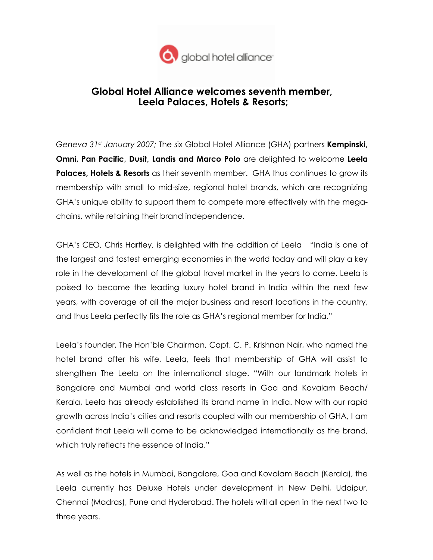

## Global Hotel Alliance welcomes seventh member, Leela Palaces, Hotels & Resorts;

Geneva 31st January 2007; The six Global Hotel Alliance (GHA) partners **Kempinski**, Omni, Pan Pacific, Dusit, Landis and Marco Polo are delighted to welcome Leela **Palaces, Hotels & Resorts** as their seventh member. GHA thus continues to grow its membership with small to mid-size, regional hotel brands, which are recognizing GHA's unique ability to support them to compete more effectively with the megachains, while retaining their brand independence.

GHA's CEO, Chris Hartley, is delighted with the addition of Leela "India is one of the largest and fastest emerging economies in the world today and will play a key role in the development of the global travel market in the years to come. Leela is poised to become the leading luxury hotel brand in India within the next few years, with coverage of all the major business and resort locations in the country, and thus Leela perfectly fits the role as GHA's regional member for India."

Leela's founder, The Hon'ble Chairman, Capt. C. P. Krishnan Nair, who named the hotel brand after his wife, Leela, feels that membership of GHA will assist to strengthen The Leela on the international stage. "With our landmark hotels in Bangalore and Mumbai and world class resorts in Goa and Kovalam Beach/ Kerala, Leela has already established its brand name in India. Now with our rapid growth across India's cities and resorts coupled with our membership of GHA, I am confident that Leela will come to be acknowledged internationally as the brand, which truly reflects the essence of India."

As well as the hotels in Mumbai, Bangalore, Goa and Kovalam Beach (Kerala), the Leela currently has Deluxe Hotels under development in New Delhi, Udaipur, Chennai (Madras), Pune and Hyderabad. The hotels will all open in the next two to three years.